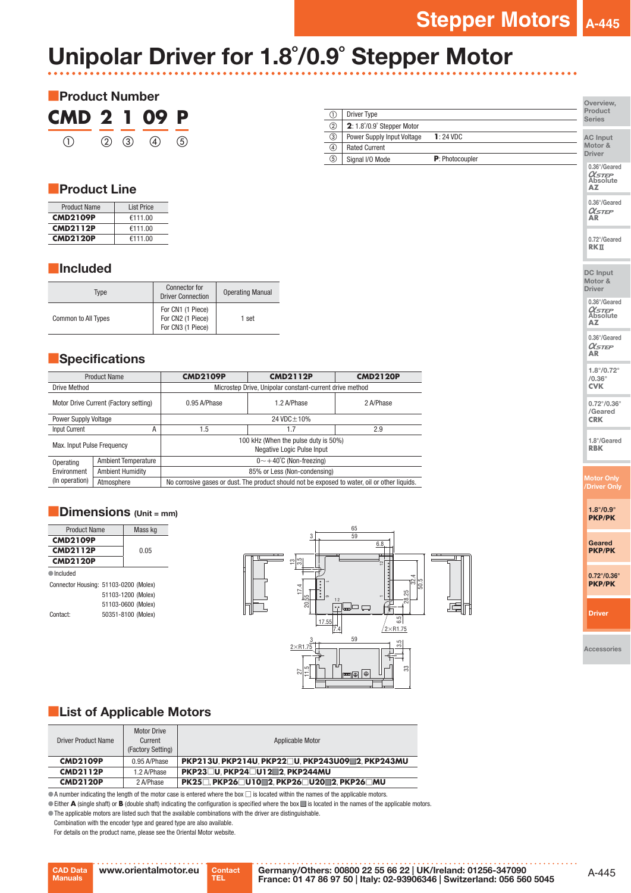# Unipolar Driver for 1.8˚/0.9˚ Stepper Motor



|                |                                           |                         | Overview,                |
|----------------|-------------------------------------------|-------------------------|--------------------------|
| ➀              | <b>Driver Type</b>                        |                         | Product<br><b>Series</b> |
| $^{\circledR}$ | $2:1.8^{\circ}/0.9^{\circ}$ Stepper Motor |                         |                          |
| ③              | Power Supply Input Voltage                | $1:24$ VDC              | <b>AC Input</b>          |
| ④              | <b>Rated Current</b>                      |                         | Motor &                  |
| $\circledS$    | Signal I/O Mode                           | <b>P</b> : Photocoupler | <b>Driver</b>            |
|                |                                           |                         | 0.36°/Geared             |

## ■Product Line

| <b>Product Name</b> | <b>List Price</b> |
|---------------------|-------------------|
| <b>CMD2109P</b>     | €111.00           |
| <b>CMD2112P</b>     | €111.00           |
| <b>CMD2120P</b>     | €111.00           |

### ■Included

| Tvpe                       | <b>Connector for</b><br><b>Driver Connection</b>            | <b>Operating Manual</b> |
|----------------------------|-------------------------------------------------------------|-------------------------|
| <b>Common to All Types</b> | For CN1 (1 Piece)<br>For CN2 (1 Piece)<br>For CN3 (1 Piece) | 1 set                   |

## **■Specifications**

|                                       | <b>Product Name</b>        | <b>CMD2109P</b>                                                                               | <b>CMD2112P</b> | <b>CMD2120P</b> |  |
|---------------------------------------|----------------------------|-----------------------------------------------------------------------------------------------|-----------------|-----------------|--|
| Drive Method                          |                            | Microstep Drive, Unipolar constant-current drive method                                       |                 |                 |  |
| Motor Drive Current (Factory setting) |                            | 0.95 A/Phase                                                                                  | 1.2 A/Phase     | 2 A/Phase       |  |
| <b>Power Supply Voltage</b>           |                            | 24 VDC ± 10%                                                                                  |                 |                 |  |
| Input Current<br>А                    |                            | 1.5                                                                                           | 1.7             | 2.9             |  |
| Max. Input Pulse Frequency            |                            | 100 kHz (When the pulse duty is 50%)<br>Negative Logic Pulse Input                            |                 |                 |  |
| Operating                             | <b>Ambient Temperature</b> | $0 \sim +40^{\circ}$ C (Non-freezing)                                                         |                 |                 |  |
| Environment                           | <b>Ambient Humidity</b>    | 85% or Less (Non-condensing)                                                                  |                 |                 |  |
| (In operation)                        | Atmosphere                 | No corrosive gases or dust. The product should not be exposed to water, oil or other liquids. |                 |                 |  |

## $\blacksquare$  Dimensions (Unit = mm)

| <b>Product Name</b>                   | Mass kg            |
|---------------------------------------|--------------------|
| <b>CMD2109P</b>                       |                    |
| <b>CMD2112P</b>                       | 0.05               |
| <b>CMD2120P</b>                       |                    |
| $\blacksquare$ Included               |                    |
| Connector Housing: 51103-0200 (Molex) |                    |
|                                       | 51103-1200 (Molex) |
|                                       | 51103-0600 (Molex) |
| Contact <sup>.</sup>                  | 50351-8100 (Molex) |



## **List of Applicable Motors**

Motor Drive

| <b>Driver Product Name</b> | <b>INIOLOI DITAG</b><br>Current<br>(Factory Setting) | Applicable Motor                                 |
|----------------------------|------------------------------------------------------|--------------------------------------------------|
| <b>CMD2109P</b>            | 0.95 A/Phase                                         | PKP213U. PKP214U. PKP22□U. PKP243U09■2. PKP243MU |
| <b>CMD2112P</b>            | 1.2 A/Phase                                          | <b>PKP23□U.PKP24□U12■2.PKP244MU</b>              |
| <b>CMD2120P</b>            | 2 A/Phase                                            | PK25□ PKP26□U10■2 PKP26□U20■2 PKP26□MU           |

●A number indicating the length of the motor case is entered where the box □ is located within the names of the applicable motors.

●Either **A** (single shaft) or **B** (double shaft) indicating the configuration is specified where the box ■ is located in the names of the applicable motors. ●The applicable motors are listed such that the available combinations with the driver are distinguishable.

Combination with the encoder type and geared type are also available.

For details on the product name, please see the Oriental Motor website.



DC Input Motor & Driver 0.36°/Geared

*OC<sub>STEP</sub>*<br>Absolute **AZ** 0.36°/Geared **AR**

0.72°/Geared **RK** 

Absolute **AZ**

0.36°/Geared **AR**

1.8°/0.72° /0.36° **CVK**

0.72°/0.36° /Geared **CRK**

1.8°/Geared **RBK**

Motor Only /Driver Only

1.8°/0.9° **PKP**/**PK**

Geared

**PKP**/**PK**

0.72°/0.36° **PKP**/**PK**

Driver

Accessories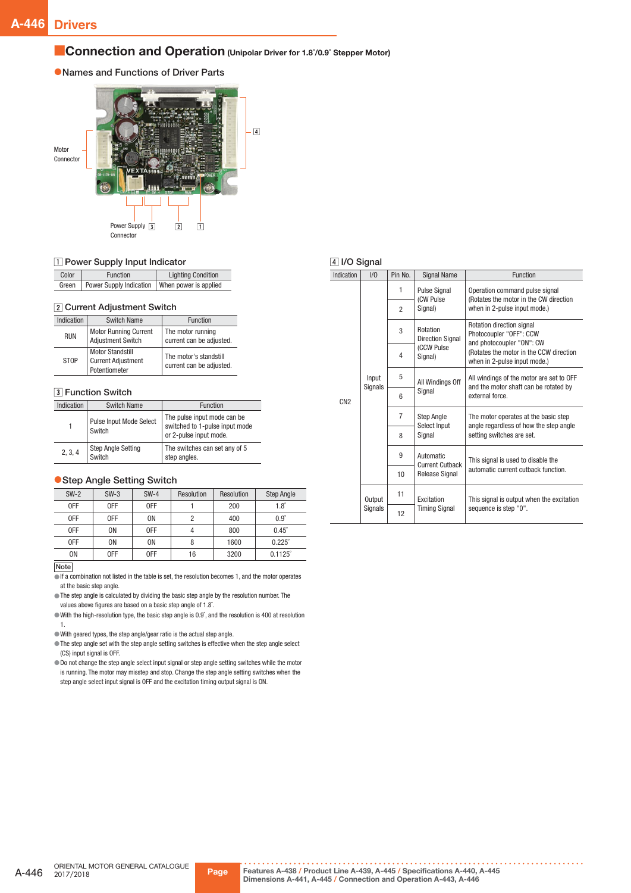#### ■ Connection and Operation (Unipolar Driver for 1.8°/0.9° Stepper Motor)

#### ●Names and Functions of Driver Parts



#### 1 Power Supply Input Indicator

| Color | Function                                        | <b>Lighting Condition</b> |  |
|-------|-------------------------------------------------|---------------------------|--|
| Green | Power Supply Indication   When power is applied |                           |  |

#### 2 Current Adjustment Switch

| Indication  | <b>Switch Name</b>                                                    | <b>Function</b>                                    |
|-------------|-----------------------------------------------------------------------|----------------------------------------------------|
| <b>RUN</b>  | <b>Motor Running Current</b><br><b>Adjustment Switch</b>              | The motor running<br>current can be adjusted.      |
| <b>STOP</b> | <b>Motor Standstill</b><br><b>Current Adjustment</b><br>Potentiometer | The motor's standstill<br>current can be adjusted. |

#### **3** Function Switch

| Indication                                     | <b>Switch Name</b>                | <b>Function</b>                                                                         |
|------------------------------------------------|-----------------------------------|-----------------------------------------------------------------------------------------|
|                                                | Pulse Input Mode Select<br>Switch | The pulse input mode can be<br>switched to 1-pulse input mode<br>or 2-pulse input mode. |
| <b>Step Angle Setting</b><br>2, 3, 4<br>Switch |                                   | The switches can set any of 5<br>step angles.                                           |

#### ● Step Angle Setting Switch

| $SW-2$ | $SW-3$ | $SW-4$         | Resolution | Resolution | Step Angle       |
|--------|--------|----------------|------------|------------|------------------|
| 0FF    | 0FF    | 0FF            |            | 200        | $1.8^\circ$      |
| 0FF    | 0FF    | 0 <sub>N</sub> | 2          | 400        | $0.9^\circ$      |
| 0FF    | 0N     | 0FF            |            | 800        | $0.45^\circ$     |
| 0FF    | 0N     | 0 <sub>N</sub> | 8          | 1600       | $0.225^{\circ}$  |
| 0N     | 0FF    | 0FF            | 16         | 3200       | $0.1125^{\circ}$ |
|        |        |                |            |            |                  |

#### Note

 $\overline{\bullet}$  If a combination not listed in the table is set, the resolution becomes 1, and the motor operates at the basic step angle.

●The step angle is calculated by dividing the basic step angle by the resolution number. The values above figures are based on a basic step angle of 1.8˚.

●With the high-resolution type, the basic step angle is 0.9˚, and the resolution is 400 at resolution 1.

●With geared types, the step angle/gear ratio is the actual step angle.

●The step angle set with the step angle setting switches is effective when the step angle select (CS) input signal is OFF.

●Do not change the step angle select input signal or step angle setting switches while the motor is running. The motor may misstep and stop. Change the step angle setting switches when the step angle select input signal is OFF and the excitation timing output signal is ON.

#### 4 I/O Signal

| Indication      | 1/0                      | Pin No.        | <b>Signal Name</b>                                                                                                                        | Function                                                                                                                                                     |
|-----------------|--------------------------|----------------|-------------------------------------------------------------------------------------------------------------------------------------------|--------------------------------------------------------------------------------------------------------------------------------------------------------------|
|                 | Input<br><b>Signals</b>  | 1              | <b>Pulse Signal</b><br>(CW Pulse<br>Signal)                                                                                               | Operation command pulse signal<br>(Rotates the motor in the CW direction<br>when in 2-pulse input mode.)                                                     |
|                 |                          | $\overline{2}$ |                                                                                                                                           |                                                                                                                                                              |
|                 |                          | 3              | Rotation<br><b>Direction Signal</b><br>(CCW Pulse<br>Signal)                                                                              | Rotation direction signal<br>Photocoupler "OFF": CCW<br>and photocoupler "ON": CW<br>(Rotates the motor in the CCW direction<br>when in 2-pulse input mode.) |
|                 |                          | 4              |                                                                                                                                           |                                                                                                                                                              |
|                 |                          | 5              | All Windings Off<br>Signal<br><b>Step Angle</b><br>Select Input<br>Signal<br>Automatic<br><b>Current Cutback</b><br><b>Release Signal</b> | All windings of the motor are set to OFF<br>and the motor shaft can be rotated by<br>external force.                                                         |
| CN <sub>2</sub> |                          | 6              |                                                                                                                                           |                                                                                                                                                              |
|                 |                          | $\overline{7}$ |                                                                                                                                           | The motor operates at the basic step<br>angle regardless of how the step angle<br>setting switches are set.                                                  |
|                 |                          | 8              |                                                                                                                                           |                                                                                                                                                              |
|                 |                          | 9              |                                                                                                                                           | This signal is used to disable the<br>automatic current cutback function.                                                                                    |
|                 |                          | 10             |                                                                                                                                           |                                                                                                                                                              |
|                 | Output<br><b>Signals</b> | 11             | Excitation                                                                                                                                | This signal is output when the excitation                                                                                                                    |
|                 |                          |                | 12                                                                                                                                        | <b>Timing Signal</b>                                                                                                                                         |